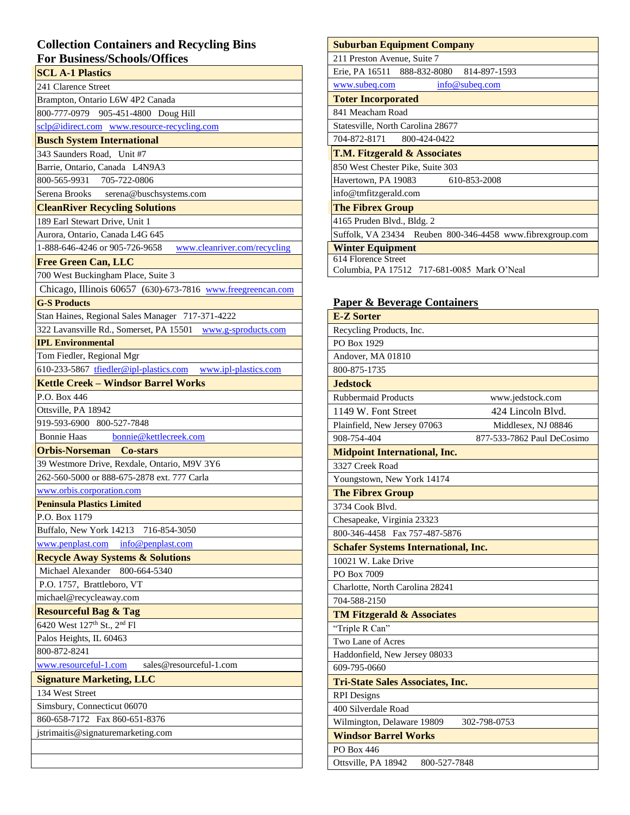## **Collection Containers and Recycling Bins For Business/Schools/Offices**

| <b>SCL A-1 Plastics</b>                                                            |
|------------------------------------------------------------------------------------|
| 241 Clarence Street                                                                |
| Brampton, Ontario L6W 4P2 Canada                                                   |
| 800-777-0979 905-451-4800 Doug Hill                                                |
| sclp@idirect.com www.resource-recycling.com                                        |
| <b>Busch System International</b>                                                  |
| 343 Saunders Road, Unit #7                                                         |
| Barrie, Ontario, Canada L4N9A3                                                     |
| 800-565-9931 705-722-0806                                                          |
| Serena Brooks serena@buschsystems.com                                              |
| <b>CleanRiver Recycling Solutions</b>                                              |
| 189 Earl Stewart Drive, Unit 1                                                     |
| Aurora, Ontario, Canada L4G 645                                                    |
| 1-888-646-4246 or 905-726-9658<br>www.cleanriver.com/recycling                     |
| <b>Free Green Can, LLC</b>                                                         |
| 700 West Buckingham Place, Suite 3                                                 |
|                                                                                    |
| Chicago, Illinois 60657 (630)-673-7816 www.freegreencan.com<br><b>G-S Products</b> |
| Stan Haines, Regional Sales Manager 717-371-4222                                   |
| 322 Lavansville Rd., Somerset, PA 15501 www.g-sproducts.com                        |
| <b>IPL Environmental</b>                                                           |
| Tom Fiedler, Regional Mgr                                                          |
| 610-233-5867 tfiedler@ipl-plastics.com www.ipl-plastics.com                        |
|                                                                                    |
| <b>Kettle Creek - Windsor Barrel Works</b>                                         |
| P.O. Box 446                                                                       |
| Ottsville, PA 18942                                                                |
| 919-593-6900 800-527-7848                                                          |
| <b>Bonnie Haas</b><br>bonnie@kettlecreek.com                                       |
| <b>Orbis-Norseman Co-stars</b>                                                     |
| 39 Westmore Drive, Rexdale, Ontario, M9V 3Y6                                       |
| 262-560-5000 or 888-675-2878 ext. 777 Carla                                        |
| www.orbis.corporation.com                                                          |
| <b>Peninsula Plastics Limited</b>                                                  |
| P.O. Box 1179                                                                      |
| Buffalo, New York 14213<br>716-854-3050                                            |
| www.penplast.com<br>info@penplast.com                                              |
| <b>Recycle Away Systems &amp; Solutions</b>                                        |
| 800-664-5340<br>Michael Alexander                                                  |
| P.O. 1757, Brattleboro, VT                                                         |
| michael@recycleaway.com                                                            |
| <b>Resourceful Bag &amp; Tag</b>                                                   |
| 6420 West 127th St., 2nd Fl                                                        |
| Palos Heights, IL 60463                                                            |
| 800-872-8241                                                                       |
| sales@resourceful-1.com<br>www.resourceful-1.com                                   |
| <b>Signature Marketing, LLC</b>                                                    |
| 134 West Street                                                                    |
| Simsbury, Connecticut 06070                                                        |
| 860-658-7172  Fax 860-651-8376                                                     |
| jstrimaitis@signaturemarketing.com                                                 |
|                                                                                    |
|                                                                                    |
|                                                                                    |

| <b>Suburban Equipment Company</b>                         |  |
|-----------------------------------------------------------|--|
| 211 Preston Avenue, Suite 7                               |  |
| Erie, PA 16511 888-832-8080<br>814-897-1593               |  |
| www.subeq.com<br>info@subeq.com                           |  |
| <b>Toter Incorporated</b>                                 |  |
| 841 Meacham Road                                          |  |
| Statesville, North Carolina 28677                         |  |
| 800-424-0422<br>704-872-8171                              |  |
| <b>T.M. Fitzgerald &amp; Associates</b>                   |  |
| 850 West Chester Pike, Suite 303                          |  |
| 610-853-2008<br>Havertown, PA 19083                       |  |
| info@tmfitzgerald.com                                     |  |
| <b>The Fibrex Group</b>                                   |  |
| 4165 Pruden Blvd., Bldg. 2                                |  |
| Suffolk, VA 23434 Reuben 800-346-4458 www.fibrexgroup.com |  |
| <b>Winter Equipment</b>                                   |  |
| 614 Florence Street                                       |  |
| Columbia, PA 17512 717-681-0085 Mark O'Neal               |  |

| <b>Paper &amp; Beverage Containers</b> |  |  |  |  |
|----------------------------------------|--|--|--|--|
|----------------------------------------|--|--|--|--|

| <b>E-Z Sorter</b>                          |                            |
|--------------------------------------------|----------------------------|
| Recycling Products, Inc.                   |                            |
| PO Box 1929                                |                            |
| Andover, MA 01810                          |                            |
| 800-875-1735                               |                            |
| <b>Jedstock</b>                            |                            |
| <b>Rubbermaid Products</b>                 | www.jedstock.com           |
| 1149 W. Font Street                        | 424 Lincoln Blvd.          |
| Plainfield, New Jersey 07063               | Middlesex, NJ 08846        |
| 908-754-404                                | 877-533-7862 Paul DeCosimo |
| <b>Midpoint International, Inc.</b>        |                            |
| 3327 Creek Road                            |                            |
| Youngstown, New York 14174                 |                            |
| <b>The Fibrex Group</b>                    |                            |
| 3734 Cook Blvd.                            |                            |
| Chesapeake, Virginia 23323                 |                            |
| 800-346-4458 Fax 757-487-5876              |                            |
| <b>Schafer Systems International, Inc.</b> |                            |
| 10021 W. Lake Drive                        |                            |
| PO Box 7009                                |                            |
| Charlotte, North Carolina 28241            |                            |
| 704-588-2150                               |                            |
| <b>TM Fitzgerald &amp; Associates</b>      |                            |
| "Triple R Can"                             |                            |
| Two Lane of Acres                          |                            |
| Haddonfield, New Jersey 08033              |                            |
| 609-795-0660                               |                            |
| <b>Tri-State Sales Associates, Inc.</b>    |                            |
| <b>RPI</b> Designs                         |                            |
| 400 Silverdale Road                        |                            |
| Wilmington, Delaware 19809                 | 302-798-0753               |
| <b>Windsor Barrel Works</b>                |                            |
| PO Box 446                                 |                            |
| Ottsville, PA 18942<br>800-527-7848        |                            |